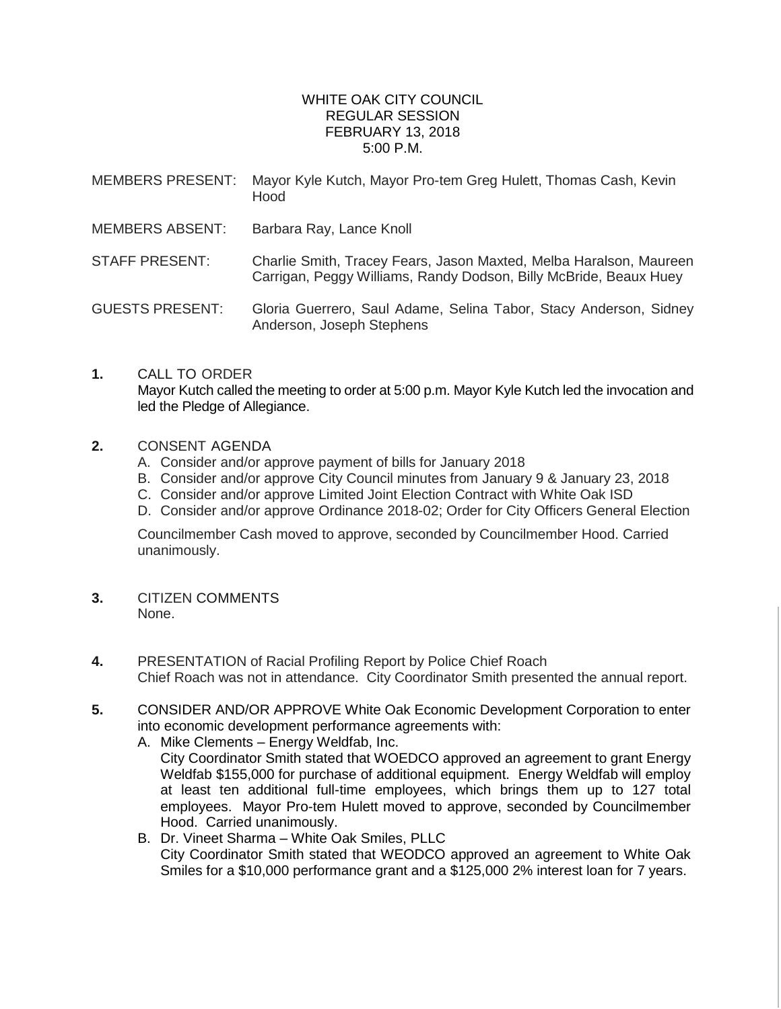## WHITE OAK CITY COUNCIL REGULAR SESSION FEBRUARY 13, 2018 5:00 P.M.

- MEMBERS PRESENT: Mayor Kyle Kutch, Mayor Pro-tem Greg Hulett, Thomas Cash, Kevin Hood
- MEMBERS ABSENT: Barbara Ray, Lance Knoll
- STAFF PRESENT: Charlie Smith, Tracey Fears, Jason Maxted, Melba Haralson, Maureen Carrigan, Peggy Williams, Randy Dodson, Billy McBride, Beaux Huey

GUESTS PRESENT: Gloria Guerrero, Saul Adame, Selina Tabor, Stacy Anderson, Sidney Anderson, Joseph Stephens

- **1.** CALL TO ORDER Mayor Kutch called the meeting to order at 5:00 p.m. Mayor Kyle Kutch led the invocation and led the Pledge of Allegiance.
- **2.** CONSENT AGENDA
	- A. Consider and/or approve payment of bills for January 2018
	- B. Consider and/or approve City Council minutes from January 9 & January 23, 2018
	- C. Consider and/or approve Limited Joint Election Contract with White Oak ISD
	- D. Consider and/or approve Ordinance 2018-02; Order for City Officers General Election

Councilmember Cash moved to approve, seconded by Councilmember Hood. Carried unanimously.

- **3.** CITIZEN COMMENTS None.
- **4.** PRESENTATION of Racial Profiling Report by Police Chief Roach Chief Roach was not in attendance. City Coordinator Smith presented the annual report.
- **5.** CONSIDER AND/OR APPROVE White Oak Economic Development Corporation to enter into economic development performance agreements with:
	- A. Mike Clements Energy Weldfab, Inc. City Coordinator Smith stated that WOEDCO approved an agreement to grant Energy Weldfab \$155,000 for purchase of additional equipment. Energy Weldfab will employ at least ten additional full-time employees, which brings them up to 127 total employees. Mayor Pro-tem Hulett moved to approve, seconded by Councilmember Hood. Carried unanimously.
	- B. Dr. Vineet Sharma White Oak Smiles, PLLC City Coordinator Smith stated that WEODCO approved an agreement to White Oak Smiles for a \$10,000 performance grant and a \$125,000 2% interest loan for 7 years.